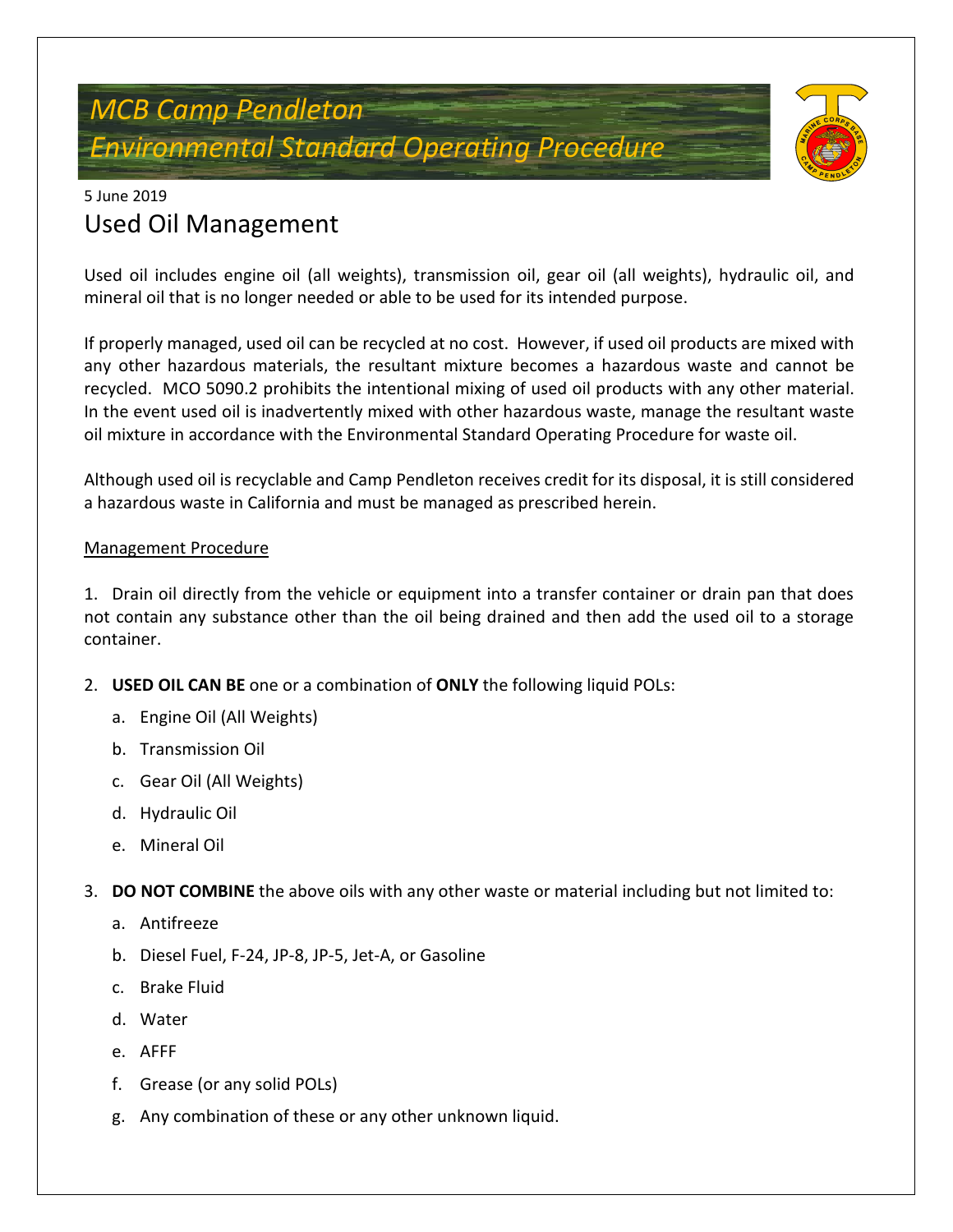## *MCB Camp Pendleton Environmental Standard Operating Procedure*



### 5 June 2019 Used Oil Management

Used oil includes engine oil (all weights), transmission oil, gear oil (all weights), hydraulic oil, and mineral oil that is no longer needed or able to be used for its intended purpose.

If properly managed, used oil can be recycled at no cost. However, if used oil products are mixed with any other hazardous materials, the resultant mixture becomes a hazardous waste and cannot be recycled. MCO 5090.2 prohibits the intentional mixing of used oil products with any other material. In the event used oil is inadvertently mixed with other hazardous waste, manage the resultant waste oil mixture in accordance with the Environmental Standard Operating Procedure for waste oil.

Although used oil is recyclable and Camp Pendleton receives credit for its disposal, it is still considered a hazardous waste in California and must be managed as prescribed herein.

#### Management Procedure

1. Drain oil directly from the vehicle or equipment into a transfer container or drain pan that does not contain any substance other than the oil being drained and then add the used oil to a storage container.

- 2. **USED OIL CAN BE** one or a combination of **ONLY** the following liquid POLs:
	- a. Engine Oil (All Weights)
	- b. Transmission Oil
	- c. Gear Oil (All Weights)
	- d. Hydraulic Oil
	- e. Mineral Oil
- 3. **DO NOT COMBINE** the above oils with any other waste or material including but not limited to:
	- a. Antifreeze
	- b. Diesel Fuel, F-24, JP-8, JP-5, Jet-A, or Gasoline
	- c. Brake Fluid
	- d. Water
	- e. AFFF
	- f. Grease (or any solid POLs)
	- g. Any combination of these or any other unknown liquid.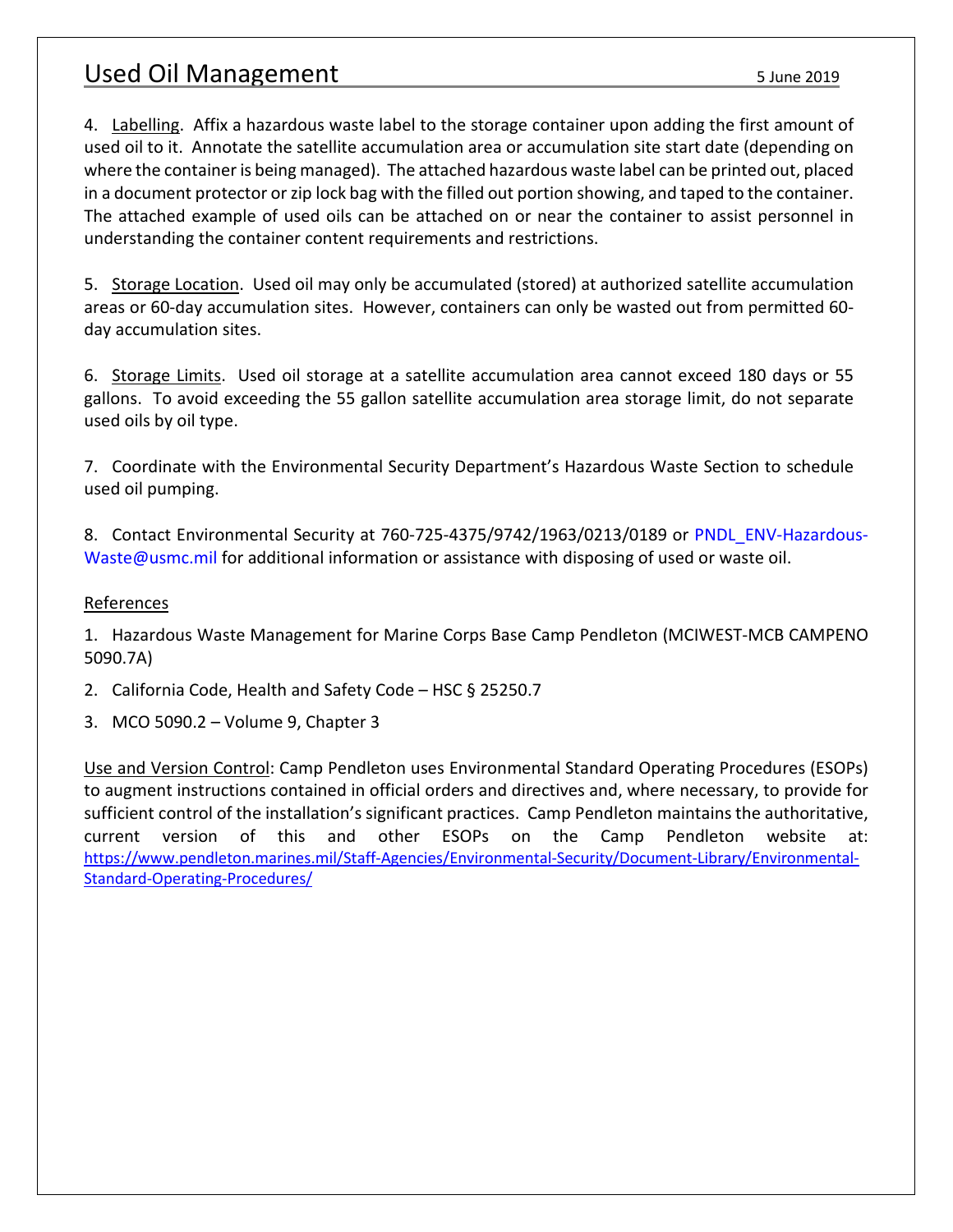#### Used Oil Management 5 June 2019

4. Labelling. Affix a hazardous waste label to the storage container upon adding the first amount of used oil to it. Annotate the satellite accumulation area or accumulation site start date (depending on where the container is being managed). The attached hazardous waste label can be printed out, placed in a document protector or zip lock bag with the filled out portion showing, and taped to the container. The attached example of used oils can be attached on or near the container to assist personnel in understanding the container content requirements and restrictions.

5. Storage Location. Used oil may only be accumulated (stored) at authorized satellite accumulation areas or 60-day accumulation sites. However, containers can only be wasted out from permitted 60 day accumulation sites.

6. Storage Limits. Used oil storage at a satellite accumulation area cannot exceed 180 days or 55 gallons. To avoid exceeding the 55 gallon satellite accumulation area storage limit, do not separate used oils by oil type.

7. Coordinate with the Environmental Security Department's Hazardous Waste Section to schedule used oil pumping.

8. Contact Environmental Security at 760-725-4375/9742/1963/0213/0189 or [PNDL\\_ENV-Hazardous-](mailto:PNDL_ENV-Hazardous-Waste@usmc.mil)[Waste@usmc.mil](mailto:PNDL_ENV-Hazardous-Waste@usmc.mil) for additional information or assistance with disposing of used or waste oil.

#### References

1. Hazardous Waste Management for Marine Corps Base Camp Pendleton (MCIWEST-MCB CAMPENO 5090.7A)

2. California Code, Health and Safety Code – HSC § 25250.7

3. MCO 5090.2 – Volume 9, Chapter 3

Use and Version Control: Camp Pendleton uses Environmental Standard Operating Procedures (ESOPs) to augment instructions contained in official orders and directives and, where necessary, to provide for sufficient control of the installation's significant practices. Camp Pendleton maintains the authoritative, current version of this and other ESOPs on the Camp Pendleton website at: https://www.pendleton.marines.mil/Staff-Agencies/Environmental-Security/Document-Library/Environmental-Standard-Operating-Procedures/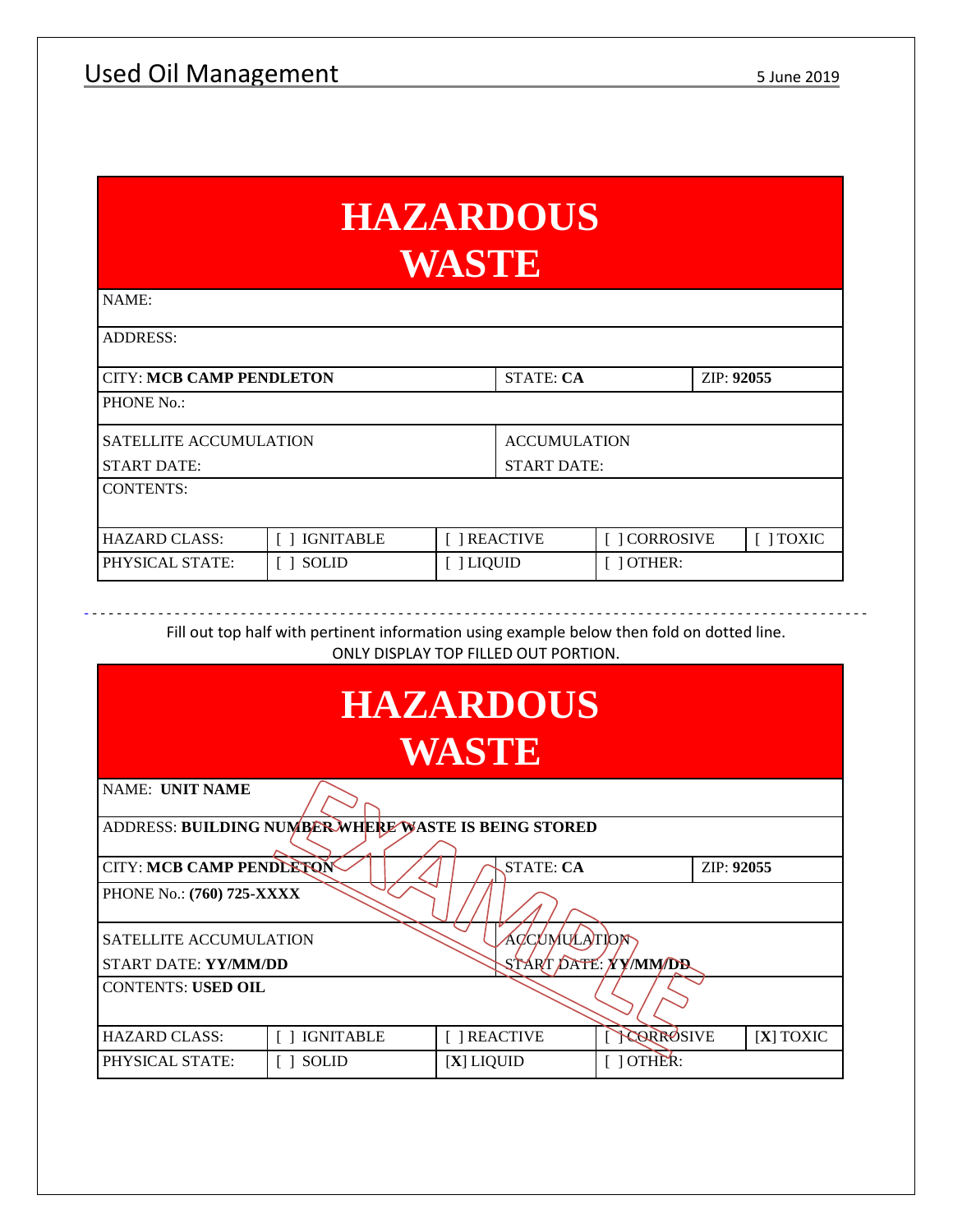## Used Oil Management 5 June 2019

| <b>HAZARDOUS</b><br><b>WASTE</b> |                     |              |                  |               |            |             |  |  |  |  |
|----------------------------------|---------------------|--------------|------------------|---------------|------------|-------------|--|--|--|--|
| NAME:                            |                     |              |                  |               |            |             |  |  |  |  |
| <b>ADDRESS:</b>                  |                     |              |                  |               |            |             |  |  |  |  |
| <b>CITY: MCB CAMP PENDLETON</b>  |                     |              | <b>STATE: CA</b> |               | ZIP: 92055 |             |  |  |  |  |
| PHONE No.:                       |                     |              |                  |               |            |             |  |  |  |  |
| <b>SATELLITE ACCUMULATION</b>    | <b>ACCUMULATION</b> |              |                  |               |            |             |  |  |  |  |
| <b>START DATE:</b>               | <b>START DATE:</b>  |              |                  |               |            |             |  |  |  |  |
| <b>CONTENTS:</b>                 |                     |              |                  |               |            |             |  |  |  |  |
| <b>HAZARD CLASS:</b>             | [ ] IGNITABLE       | [ ] REACTIVE |                  | [ ] CORROSIVE |            | $[$   TOXIC |  |  |  |  |
| PHYSICAL STATE:                  | I SOLID             | [ ] LIQUID   | $\bigcap$ OTHER: |               |            |             |  |  |  |  |

- - - - - - - - - - - - - - - - - - - - - - - - - - - - - - - - - - - - - - - - - - - - - - - - - - - - - - - - - - - - - - - - - - - - - - - - - - - - - - - - - - - - - - - - - - - - - - - Fill out top half with pertinent information using example below then fold on dotted line. ONLY DISPLAY TOP FILLED OUT PORTION.

| <b>HAZARDOUS</b><br><b>WASTE</b>                     |                  |                                 |           |  |             |  |  |  |  |  |
|------------------------------------------------------|------------------|---------------------------------|-----------|--|-------------|--|--|--|--|--|
| <b>NAME: UNIT NAME</b>                               |                  |                                 |           |  |             |  |  |  |  |  |
| ADDRESS: BUILDING NUMBER WHERE WASTE IS BEING STORED |                  |                                 |           |  |             |  |  |  |  |  |
| <b>CITY: MCB CAMP PENDLETON</b>                      | ZIP: 92055       |                                 |           |  |             |  |  |  |  |  |
| PHONE No.: (760) 725-XXXX                            |                  |                                 |           |  |             |  |  |  |  |  |
| ACCUMULATION<br><b>SATELLITE ACCUMULATION</b>        |                  |                                 |           |  |             |  |  |  |  |  |
| START DATE: YY/MM/DD<br><b>START DATE: YY/MM/DD</b>  |                  |                                 |           |  |             |  |  |  |  |  |
| <b>CONTENTS: USED OIL</b>                            |                  |                                 |           |  |             |  |  |  |  |  |
| <b>HAZARD CLASS:</b>                                 | <b>IGNITABLE</b> | [ ] REACTIVE                    | CORROSIVE |  | $[X]$ TOXIC |  |  |  |  |  |
| PHYSICAL STATE:                                      | <b>SOLID</b>     | $\lceil$   OTHER:<br>[X] LIQUID |           |  |             |  |  |  |  |  |